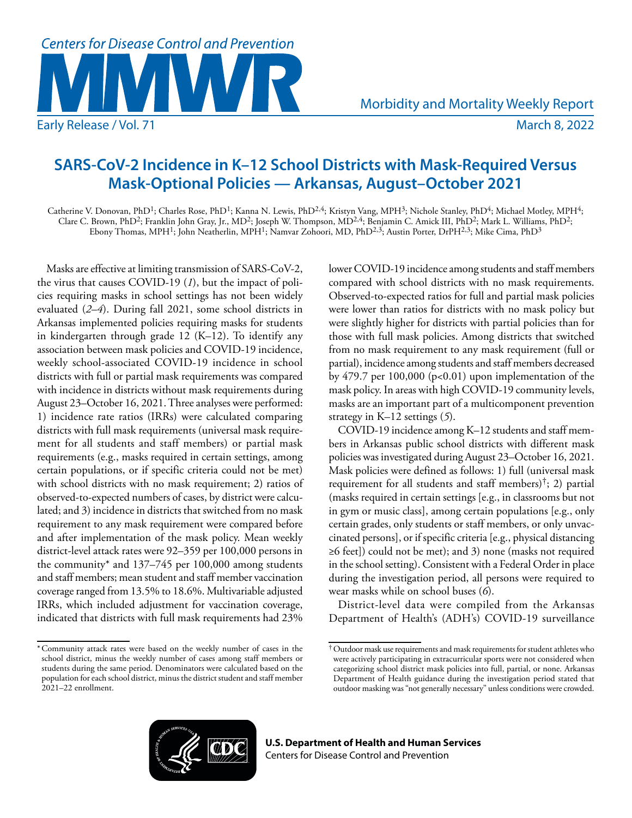

# **SARS-CoV-2 Incidence in K–12 School Districts with Mask-Required Versus Mask-Optional Policies — Arkansas, August–October 2021**

Catherine V. Donovan, PhD<sup>1</sup>; Charles Rose, PhD<sup>1</sup>; Kanna N. Lewis, PhD<sup>2,4</sup>; Kristyn Vang, MPH<sup>3</sup>; Nichole Stanley, PhD<sup>4</sup>; Michael Motley, MPH<sup>4</sup>; Clare C. Brown, PhD<sup>2</sup>; Franklin John Gray, Jr., MD<sup>2</sup>; Joseph W. Thompson, MD<sup>2,4</sup>; Benjamin C. Amick III, PhD<sup>2</sup>; Mark L. Williams, PhD<sup>2</sup>; Ebony Thomas, MPH<sup>1</sup>; John Neatherlin, MPH<sup>1</sup>; Namvar Zohoori, MD, PhD<sup>2,3</sup>; Austin Porter, DrPH<sup>2,3</sup>; Mike Cima, PhD<sup>3</sup>

Masks are effective at limiting transmission of SARS-CoV-2, the virus that causes COVID-19 (*1*), but the impact of policies requiring masks in school settings has not been widely evaluated (*2*–*4*). During fall 2021, some school districts in Arkansas implemented policies requiring masks for students in kindergarten through grade 12 (K–12). To identify any association between mask policies and COVID-19 incidence, weekly school-associated COVID-19 incidence in school districts with full or partial mask requirements was compared with incidence in districts without mask requirements during August 23–October 16, 2021. Three analyses were performed: 1) incidence rate ratios (IRRs) were calculated comparing districts with full mask requirements (universal mask requirement for all students and staff members) or partial mask requirements (e.g., masks required in certain settings, among certain populations, or if specific criteria could not be met) with school districts with no mask requirement; 2) ratios of observed-to-expected numbers of cases, by district were calculated; and 3) incidence in districts that switched from no mask requirement to any mask requirement were compared before and after implementation of the mask policy. Mean weekly district-level attack rates were 92–359 per 100,000 persons in the community\* and 137–745 per 100,000 among students and staff members; mean student and staff member vaccination coverage ranged from 13.5% to 18.6%. Multivariable adjusted IRRs, which included adjustment for vaccination coverage, indicated that districts with full mask requirements had 23%

lower COVID-19 incidence among students and staff members compared with school districts with no mask requirements. Observed-to-expected ratios for full and partial mask policies were lower than ratios for districts with no mask policy but were slightly higher for districts with partial policies than for those with full mask policies. Among districts that switched from no mask requirement to any mask requirement (full or partial), incidence among students and staff members decreased by  $479.7$  per  $100,000$  (p<0.01) upon implementation of the mask policy. In areas with high COVID-19 community levels, masks are an important part of a multicomponent prevention strategy in K–12 settings (*5*).

COVID-19 incidence among K–12 students and staff members in Arkansas public school districts with different mask policies was investigated during August 23–October 16, 2021. Mask policies were defined as follows: 1) full (universal mask requirement for all students and staff members)<sup>†</sup>; 2) partial (masks required in certain settings [e.g., in classrooms but not in gym or music class], among certain populations [e.g., only certain grades, only students or staff members, or only unvaccinated persons], or if specific criteria [e.g., physical distancing ≥6 feet]) could not be met); and 3) none (masks not required in the school setting). Consistent with a Federal Order in place during the investigation period, all persons were required to wear masks while on school buses (*6*).

District-level data were compiled from the Arkansas Department of Health's (ADH's) COVID-19 surveillance



<sup>\*</sup>Community attack rates were based on the weekly number of cases in the school district, minus the weekly number of cases among staff members or students during the same period. Denominators were calculated based on the population for each school district, minus the district student and staff member 2021–22 enrollment.

<sup>†</sup>Outdoor mask use requirements and mask requirements for student athletes who were actively participating in extracurricular sports were not considered when categorizing school district mask policies into full, partial, or none. Arkansas Department of Health guidance during the investigation period stated that outdoor masking was "not generally necessary" unless conditions were crowded.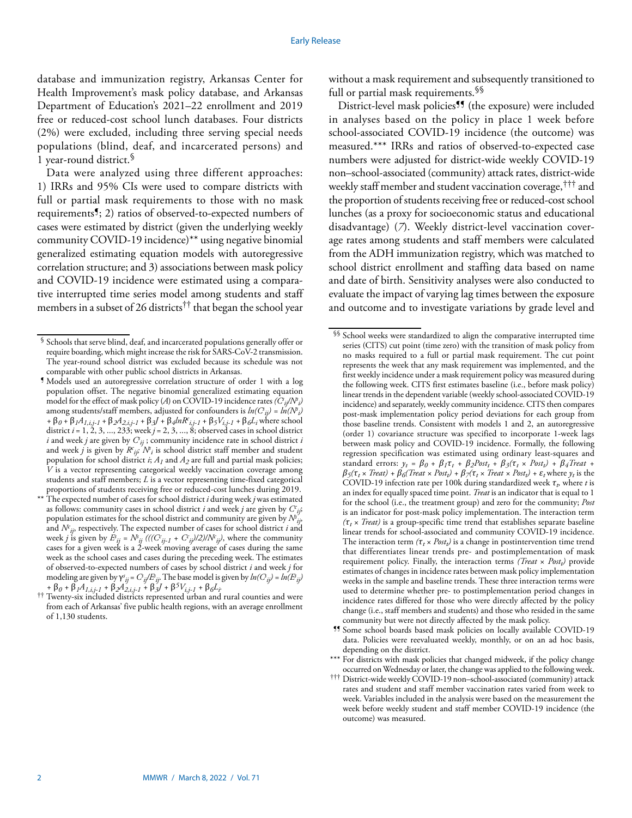database and immunization registry, Arkansas Center for Health Improvement's mask policy database, and Arkansas Department of Education's 2021–22 enrollment and 2019 free or reduced-cost school lunch databases. Four districts (2%) were excluded, including three serving special needs populations (blind, deaf, and incarcerated persons) and 1 year-round district.§

Data were analyzed using three different approaches: 1) IRRs and 95% CIs were used to compare districts with full or partial mask requirements to those with no mask requirements¶; 2) ratios of observed-to-expected numbers of cases were estimated by district (given the underlying weekly community COVID-19 incidence)\*\* using negative binomial generalized estimating equation models with autoregressive correlation structure; and 3) associations between mask policy and COVID-19 incidence were estimated using a comparative interrupted time series model among students and staff members in a subset of 26 districts<sup> $\dagger\dagger$ </sup> that began the school year

- ¶ Models used an autoregressive correlation structure of order 1 with a log population offset. The negative binomial generalized estimating equation model for the effect of mask policy (*A*) on COVID-19 incidence rates  $(\hat{C}_{ij}/N^s)$ among students/staff members, adjusted for confounders is  $ln(C_{ij}) = ln(N^s_i)$ *+* β*0 +* β*1A1,i,j-1 +* β*2A2,i,j-1 +* β*3J +* β*4lnRc i,j-1 +* β*5Vi,j-1 +* β*6Li* where school district *i* = 1, 2, 3, ..., 233; week *j* = 2, 3, ..., 8; observed cases in school district *i* and week *j* are given by  $C_{ij}$  ; community incidence rate in school district *i* and week *j* is given by  $R_{ij}$ ;  $N_i$  is school district staff member and student population for school district *i*; *A1* and *A2* are full and partial mask policies; *V* is a vector representing categorical weekly vaccination coverage among students and staff members; *L* is a vector representing time-fixed categorical proportions of students receiving free or reduced-cost lunches during 2019.
- \*\* The expected number of cases for school district *i* during week *j* was estimated as follows: community cases in school district *i* and week *j* are given by *C<sup>c</sup> ij*; population estimates for the school district and community are given by  $N^s_{ij}$ , and  $N^c_{ij}$ , respectively. The expected number of cases for school district *i* and week *j* is given by  $\hat{F}_{ij} = N_{ij} \left( ((C_{ij-1} + C_{ij})/2)/N_{ij} \right)$ , where the community cases for a given week is a 2-week moving average of cases during the same week as the school cases and cases during the preceding week. The estimates of observed-to-expected numbers of cases by school district *i* and week *j* for modeling are given by  $\gamma^s_{ij} = C_{ij}/E_{ij}$ . The base model is given by  $ln(C_{ij}) = ln(E_{ij})$ *<sup>+</sup>*β*0 +* β*1A1,i,j-1 +* β*2A2,i,j-1 +* β*3J +* β*5Vi,j-1 +* β*6Li.* †† Twenty-six included districts represented urban and rural counties and were

without a mask requirement and subsequently transitioned to full or partial mask requirements.§§

District-level mask policies<sup>99</sup> (the exposure) were included in analyses based on the policy in place 1 week before school-associated COVID-19 incidence (the outcome) was measured.\*\*\* IRRs and ratios of observed-to-expected case numbers were adjusted for district-wide weekly COVID-19 non–school-associated (community) attack rates, district-wide weekly staff member and student vaccination coverage,††† and the proportion of students receiving free or reduced-cost school lunches (as a proxy for socioeconomic status and educational disadvantage) (*7*). Weekly district-level vaccination coverage rates among students and staff members were calculated from the ADH immunization registry, which was matched to school district enrollment and staffing data based on name and date of birth. Sensitivity analyses were also conducted to evaluate the impact of varying lag times between the exposure and outcome and to investigate variations by grade level and

- ¶¶ Some school boards based mask policies on locally available COVID-19 data. Policies were reevaluated weekly, monthly, or on an ad hoc basis, depending on the district.
- \*\*\* For districts with mask policies that changed midweek, if the policy change occurred on Wednesday or later, the change was applied to the following week.
- ††† District-wide weekly COVID-19 non–school-associated (community) attack rates and student and staff member vaccination rates varied from week to week. Variables included in the analysis were based on the measurement the week before weekly student and staff member COVID-19 incidence (the outcome) was measured.

<sup>§</sup> Schools that serve blind, deaf, and incarcerated populations generally offer or require boarding, which might increase the risk for SARS-CoV-2 transmission. The year-round school district was excluded because its schedule was not comparable with other public school districts in Arkansas.

from each of Arkansas' five public health regions, with an average enrollment of 1,130 students.

<sup>§§</sup> School weeks were standardized to align the comparative interrupted time series (CITS) cut point (time zero) with the transition of mask policy from no masks required to a full or partial mask requirement. The cut point represents the week that any mask requirement was implemented, and the first weekly incidence under a mask requirement policy was measured during the following week. CITS first estimates baseline (i.e., before mask policy) linear trends in the dependent variable (weekly school-associated COVID-19 incidence) and separately, weekly community incidence. CITS then compares post-mask implementation policy period deviations for each group from those baseline trends. Consistent with models 1 and 2, an autoregressive (order 1) covariance structure was specified to incorporate 1-week lags between mask policy and COVID-19 incidence. Formally, the following regression specification was estimated using ordinary least-squares and standard errors:  $y_t = \beta_0 + \beta_1 \tau_t + \beta_2 Post_t + \beta_3(\tau_t \times Post_t) + \beta_4 Treat + \cdots$  $\beta_5(\tau_t \times \text{Treat}) + \beta_6(\text{Treat} \times \text{Post}_t) + \beta_7(\tau_t \times \text{Treat} \times \text{Post}_t) + \varepsilon_t \text{ where } y_t \text{ is the } t$ COVID-19 infection rate per 100k during standardized week *τt,* where *t* is an index for equally spaced time point. *Treat* is an indicator that is equal to 1 for the school (i.e., the treatment group) and zero for the community; *Post*  is an indicator for post-mask policy implementation. The interaction term *(τ<sup>t</sup>* × *Treat)* is a group-specific time trend that establishes separate baseline linear trends for school-associated and community COVID-19 incidence. The interaction term  $(\tau_t \times Post_t)$  is a change in postintervention time trend that differentiates linear trends pre- and postimplementation of mask requirement policy. Finally, the interaction terms  $(Teat \times Post_t)$  provide estimates of changes in incidence rates between mask policy implementation weeks in the sample and baseline trends. These three interaction terms were used to determine whether pre- to postimplementation period changes in incidence rates differed for those who were directly affected by the policy change (i.e., staff members and students) and those who resided in the same community but were not directly affected by the mask policy.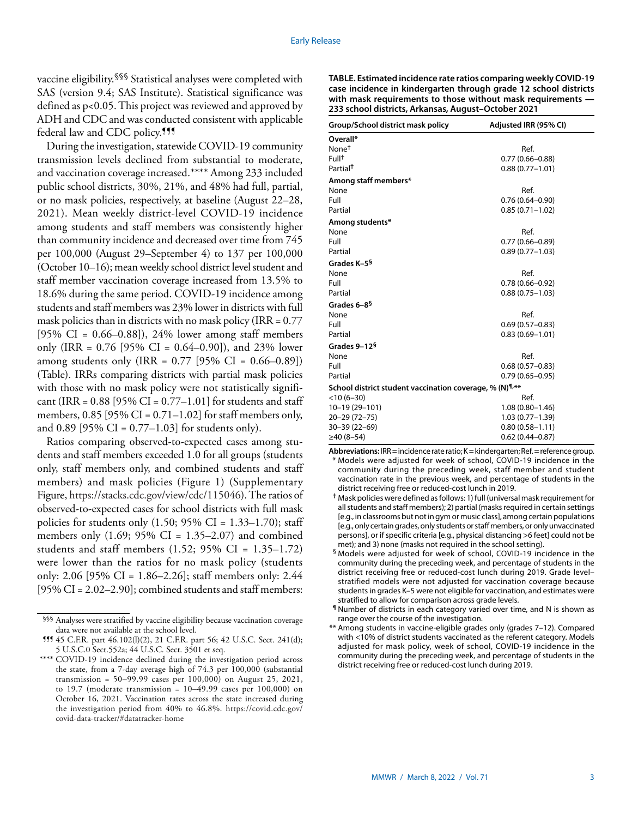vaccine eligibility.<sup>§§§</sup> Statistical analyses were completed with SAS (version 9.4; SAS Institute). Statistical significance was defined as p<0.05. This project was reviewed and approved by ADH and CDC and was conducted consistent with applicable federal law and CDC policy.<sup>111</sup>

During the investigation, statewide COVID-19 community transmission levels declined from substantial to moderate, and vaccination coverage increased.\*\*\*\* Among 233 included public school districts, 30%, 21%, and 48% had full, partial, or no mask policies, respectively, at baseline (August 22–28, 2021). Mean weekly district-level COVID-19 incidence among students and staff members was consistently higher than community incidence and decreased over time from 745 per 100,000 (August 29–September 4) to 137 per 100,000 (October 10–16); mean weekly school district level student and staff member vaccination coverage increased from 13.5% to 18.6% during the same period. COVID-19 incidence among students and staff members was 23% lower in districts with full mask policies than in districts with no mask policy (IRR =  $0.77$ ) [ $95\%$  CI = 0.66–0.88]), 24% lower among staff members only (IRR =  $0.76$  [95% CI =  $0.64-0.90$ ]), and 23% lower among students only (IRR =  $0.77$  [95% CI =  $0.66-0.89$ ]) (Table). IRRs comparing districts with partial mask policies with those with no mask policy were not statistically significant (IRR =  $0.88$  [95% CI =  $0.77-1.01$ ] for students and staff members,  $0.85$  [95% CI =  $0.71-1.02$ ] for staff members only, and 0.89 [95% CI =  $0.77-1.03$ ] for students only).

Ratios comparing observed-to-expected cases among students and staff members exceeded 1.0 for all groups (students only, staff members only, and combined students and staff members) and mask policies (Figure 1) (Supplementary Figure,<https://stacks.cdc.gov/view/cdc/115046>). The ratios of observed-to-expected cases for school districts with full mask policies for students only  $(1.50; 95\% \text{ CI} = 1.33-1.70)$ ; staff members only  $(1.69; 95\% \text{ CI} = 1.35-2.07)$  and combined students and staff members  $(1.52; 95\% \text{ CI} = 1.35-1.72)$ were lower than the ratios for no mask policy (students only: 2.06 [95% CI = 1.86–2.26]; staff members only: 2.44  $[95\% \text{ CI} = 2.02-2.90]$ ; combined students and staff members:

**TABLE. Estimated incidence rate ratios comparing weekly COVID-19 case incidence in kindergarten through grade 12 school districts with mask requirements to those without mask requirements — 233 school districts, Arkansas, August–October 2021**

| Group/School district mask policy                                   | Adjusted IRR (95% CI) |
|---------------------------------------------------------------------|-----------------------|
| Overall*                                                            |                       |
| None <sup>t</sup>                                                   | Ref.                  |
| Full <sup>+</sup>                                                   | $0.77(0.66 - 0.88)$   |
| Partial <sup>†</sup>                                                | $0.88(0.77 - 1.01)$   |
| Among staff members*                                                |                       |
| None                                                                | Ref.                  |
| Full                                                                | $0.76(0.64 - 0.90)$   |
| Partial                                                             | $0.85(0.71 - 1.02)$   |
| Among students*                                                     |                       |
| None                                                                | Ref.                  |
| Full                                                                | $0.77(0.66 - 0.89)$   |
| Partial                                                             | $0.89(0.77 - 1.03)$   |
| Grades K-5 <sup>§</sup>                                             |                       |
| None                                                                | Ref.                  |
| Full                                                                | $0.78(0.66 - 0.92)$   |
| Partial                                                             | $0.88(0.75 - 1.03)$   |
| Grades 6-8 <sup>§</sup>                                             |                       |
| None                                                                | Ref.                  |
| Full                                                                | $0.69(0.57 - 0.83)$   |
| Partial                                                             | $0.83(0.69 - 1.01)$   |
| Grades 9-12 <sup>§</sup>                                            |                       |
| None                                                                | Ref.                  |
| Full                                                                | $0.68(0.57 - 0.83)$   |
| Partial                                                             | $0.79(0.65 - 0.95)$   |
| School district student vaccination coverage, % (N) <sup>1,**</sup> |                       |
| $<$ 10 (6-30)                                                       | Ref.                  |
| $10-19(29-101)$                                                     | $1.08(0.80 - 1.46)$   |
| $20 - 29(72 - 75)$                                                  | $1.03(0.77 - 1.39)$   |
| $30 - 39(22 - 69)$                                                  | $0.80(0.58 - 1.11)$   |
| $≥40(8-54)$                                                         | $0.62(0.44 - 0.87)$   |

**Abbreviations:** IRR = incidence rate ratio; K = kindergarten; Ref. = reference group. **\*** Models were adjusted for week of school, COVID-19 incidence in the community during the preceding week, staff member and student vaccination rate in the previous week, and percentage of students in the district receiving free or reduced-cost lunch in 2019.

- **†** Mask policies were defined as follows: 1) full (universal mask requirement for all students and staff members); 2) partial (masks required in certain settings [e.g., in classrooms but not in gym or music class], among certain populations [e.g., only certain grades, only students or staff members, or only unvaccinated persons], or if specific criteria [e.g., physical distancing >6 feet] could not be met); and 3) none (masks not required in the school setting).
- § Models were adjusted for week of school, COVID-19 incidence in the community during the preceding week, and percentage of students in the district receiving free or reduced-cost lunch during 2019. Grade level– stratified models were not adjusted for vaccination coverage because students in grades K–5 were not eligible for vaccination, and estimates were stratified to allow for comparison across grade levels.
- ¶ Number of districts in each category varied over time, and N is shown as range over the course of the investigation.
- \*\* Among students in vaccine-eligible grades only (grades 7–12). Compared with <10% of district students vaccinated as the referent category. Models adjusted for mask policy, week of school, COVID-19 incidence in the community during the preceding week, and percentage of students in the district receiving free or reduced-cost lunch during 2019.

<sup>§§§</sup> Analyses were stratified by vaccine eligibility because vaccination coverage data were not available at the school level.

<sup>¶¶¶</sup> 45 C.F.R. part 46.102(l)(2), 21 C.F.R. part 56; 42 U.S.C. Sect. 241(d); 5 U.S.C.0 Sect.552a; 44 U.S.C. Sect. 3501 et seq.

<sup>\*\*\*\*</sup> COVID-19 incidence declined during the investigation period across the state, from a 7-day average high of 74.3 per 100,000 (substantial transmission = 50–99.99 cases per 100,000) on August 25, 2021, to 19.7 (moderate transmission =  $10-49.99$  cases per  $100,000$ ) on October 16, 2021. Vaccination rates across the state increased during the investigation period from 40% to 46.8%. [https://covid.cdc.gov/](https://covid.cdc.gov/covid-data-tracker/#datatracker-home) [covid-data-tracker/#datatracker-home](https://covid.cdc.gov/covid-data-tracker/#datatracker-home)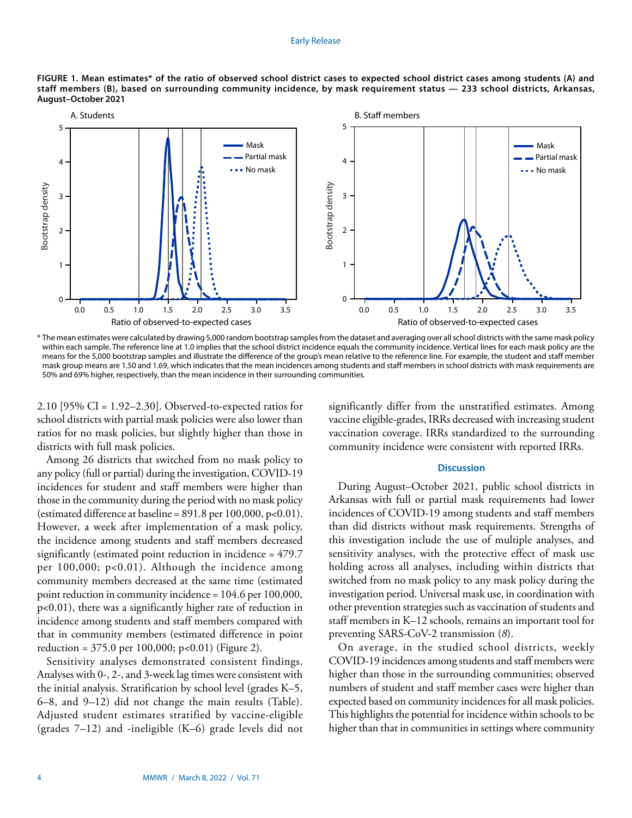

**FIGURE 1. Mean estimates\* of the ratio of observed school district cases to expected school district cases among students (A) and staff members (B), based on surrounding community incidence, by mask requirement status — 233 school districts, Arkansas, August–October 2021**

\* The mean estimates were calculated by drawing 5,000 random bootstrap samples from the dataset and averaging over all school districts with the same mask policy within each sample. The reference line at 1.0 implies that the school district incidence equals the community incidence. Vertical lines for each mask policy are the means for the 5,000 bootstrap samples and illustrate the difference of the group's mean relative to the reference line. For example, the student and staff member mask group means are 1.50 and 1.69, which indicates that the mean incidences among students and staff members in school districts with mask requirements are 50% and 69% higher, respectively, than the mean incidence in their surrounding communities.

2.10 [95% CI = 1.92–2.30]. Observed-to-expected ratios for school districts with partial mask policies were also lower than ratios for no mask policies, but slightly higher than those in districts with full mask policies.

Among 26 districts that switched from no mask policy to any policy (full or partial) during the investigation, COVID-19 incidences for student and staff members were higher than those in the community during the period with no mask policy (estimated difference at baseline =  $891.8$  per  $100,000$ ,  $p<0.01$ ). However, a week after implementation of a mask policy, the incidence among students and staff members decreased significantly (estimated point reduction in incidence = 479.7 per 100,000; p<0.01). Although the incidence among community members decreased at the same time (estimated point reduction in community incidence = 104.6 per 100,000, p<0.01), there was a significantly higher rate of reduction in incidence among students and staff members compared with that in community members (estimated difference in point reduction =  $375.0$  per 100,000; p<0.01) (Figure 2).

Sensitivity analyses demonstrated consistent findings. Analyses with 0-, 2-, and 3-week lag times were consistent with the initial analysis. Stratification by school level (grades K–5, 6–8, and 9–12) did not change the main results (Table). Adjusted student estimates stratified by vaccine-eligible (grades 7–12) and -ineligible (K–6) grade levels did not significantly differ from the unstratified estimates. Among vaccine eligible-grades, IRRs decreased with increasing student vaccination coverage. IRRs standardized to the surrounding community incidence were consistent with reported IRRs.

#### **Discussion**

During August–October 2021, public school districts in Arkansas with full or partial mask requirements had lower incidences of COVID-19 among students and staff members than did districts without mask requirements. Strengths of this investigation include the use of multiple analyses, and sensitivity analyses, with the protective effect of mask use holding across all analyses, including within districts that switched from no mask policy to any mask policy during the investigation period. Universal mask use, in coordination with other prevention strategies such as vaccination of students and staff members in K–12 schools, remains an important tool for preventing SARS-CoV-2 transmission (*8*).

On average, in the studied school districts, weekly COVID-19 incidences among students and staff members were higher than those in the surrounding communities; observed numbers of student and staff member cases were higher than expected based on community incidences for all mask policies. This highlights the potential for incidence within schools to be higher than that in communities in settings where community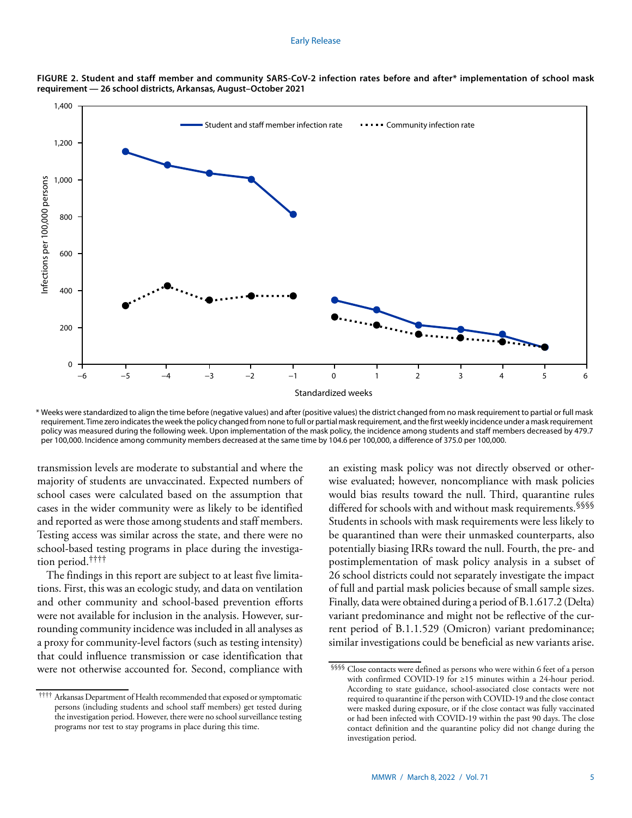

**FIGURE 2. Student and staff member and community SARS-CoV-2 infection rates before and after\* implementation of school mask requirement — 26 school districts, Arkansas, August–October 2021**

\* Weeks were standardized to align the time before (negative values) and after (positive values) the district changed from no mask requirement to partial or full mask requirement. Time zero indicates the week the policy changed from none to full or partial mask requirement, and the first weekly incidence under a mask requirement policy was measured during the following week. Upon implementation of the mask policy, the incidence among students and staff members decreased by 479.7 per 100,000. Incidence among community members decreased at the same time by 104.6 per 100,000, a difference of 375.0 per 100,000.

transmission levels are moderate to substantial and where the majority of students are unvaccinated. Expected numbers of school cases were calculated based on the assumption that cases in the wider community were as likely to be identified and reported as were those among students and staff members. Testing access was similar across the state, and there were no school-based testing programs in place during the investigation period.††††

The findings in this report are subject to at least five limitations. First, this was an ecologic study, and data on ventilation and other community and school-based prevention efforts were not available for inclusion in the analysis. However, surrounding community incidence was included in all analyses as a proxy for community-level factors (such as testing intensity) that could influence transmission or case identification that were not otherwise accounted for. Second, compliance with an existing mask policy was not directly observed or otherwise evaluated; however, noncompliance with mask policies would bias results toward the null. Third, quarantine rules differed for schools with and without mask requirements. SSSS Students in schools with mask requirements were less likely to be quarantined than were their unmasked counterparts, also potentially biasing IRRs toward the null. Fourth, the pre- and postimplementation of mask policy analysis in a subset of 26 school districts could not separately investigate the impact of full and partial mask policies because of small sample sizes. Finally, data were obtained during a period of B.1.617.2 (Delta) variant predominance and might not be reflective of the current period of B.1.1.529 (Omicron) variant predominance; similar investigations could be beneficial as new variants arise.

<sup>††††</sup> Arkansas Department of Health recommended that exposed or symptomatic persons (including students and school staff members) get tested during the investigation period. However, there were no school surveillance testing programs nor test to stay programs in place during this time.

<sup>§§§§</sup> Close contacts were defined as persons who were within 6 feet of a person with confirmed COVID-19 for ≥15 minutes within a 24-hour period. According to state guidance, school-associated close contacts were not required to quarantine if the person with COVID-19 and the close contact were masked during exposure, or if the close contact was fully vaccinated or had been infected with COVID-19 within the past 90 days. The close contact definition and the quarantine policy did not change during the investigation period.